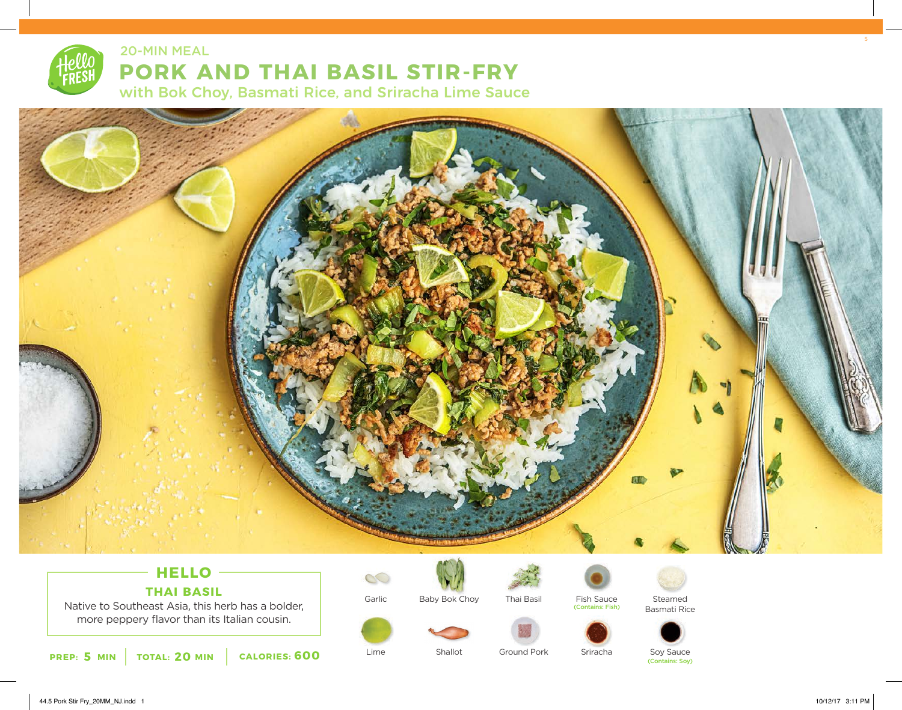

20-MIN MEAL

# **PORK AND THAI BASIL STIR-FRY**

with Bok Choy, Basmati Rice, and Sriracha Lime Sauce



## **HELLO THAI BASIL**

Native to Southeast Asia, this herb has a bolder, more peppery flavor than its Italian cousin.



 $\infty$ Garlic

Lime



Shallot



Ground Pork

Fish Sauce (Contains: Fish)



Steamed







Soy Sauce (Contains: Soy)